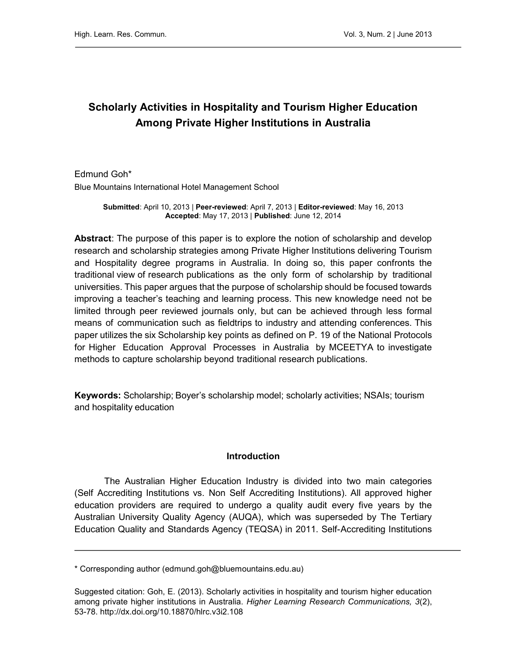# Scholarly Activities in Hospitality and Tourism Higher Education Among Private Higher Institutions in Australia

Edmund Goh\* Blue Mountains International Hotel Management School

> Submitted: April 10, 2013 | Peer-reviewed: April 7, 2013 | Editor-reviewed: May 16, 2013 Accepted: May 17, 2013 | Published: June 12, 2014

Abstract: The purpose of this paper is to explore the notion of scholarship and develop research and scholarship strategies among Private Higher Institutions delivering Tourism and Hospitality degree programs in Australia. In doing so, this paper confronts the traditional view of research publications as the only form of scholarship by traditional universities. This paper argues that the purpose of scholarship should be focused towards improving a teacher's teaching and learning process. This new knowledge need not be limited through peer reviewed journals only, but can be achieved through less formal means of communication such as fieldtrips to industry and attending conferences. This paper utilizes the six Scholarship key points as defined on P. 19 of the National Protocols for Higher Education Approval Processes in Australia by MCEETYA to investigate methods to capture scholarship beyond traditional research publications.

Keywords: Scholarship; Boyer's scholarship model; scholarly activities; NSAIs; tourism and hospitality education

#### Introduction

The Australian Higher Education Industry is divided into two main categories (Self Accrediting Institutions vs. Non Self Accrediting Institutions). All approved higher education providers are required to undergo a quality audit every five years by the Australian University Quality Agency (AUQA), which was superseded by The Tertiary Education Quality and Standards Agency (TEQSA) in 2011. Self-Accrediting Institutions

<sup>\*</sup> Corresponding author (edmund.goh@bluemountains.edu.au)

Suggested citation: Goh, E. (2013). Scholarly activities in hospitality and tourism higher education among private higher institutions in Australia. Higher Learning Research Communications, 3(2), 53-78.<http://dx.doi.org/10.18870/hlrc.v3i2.108>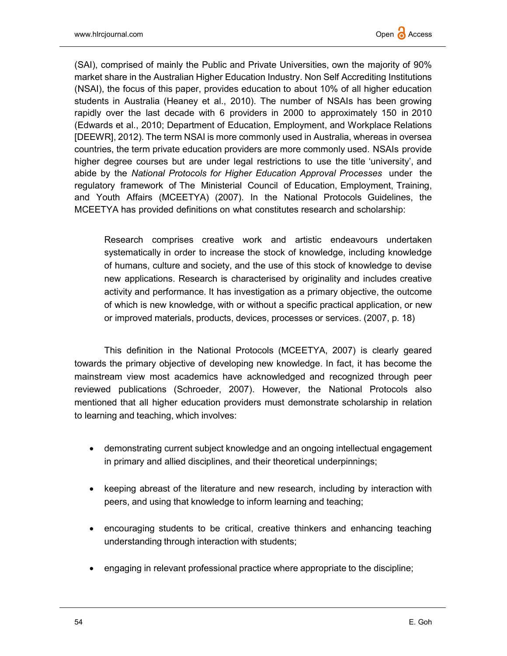

(SAI), comprised of mainly the Public and Private Universities, own the majority of 90% market share in the Australian Higher Education Industry. Non Self Accrediting Institutions (NSAI), the focus of this paper, provides education to about 10% of all higher education students in Australia (Heaney et al., 2010). The number of NSAIs has been growing rapidly over the last decade with 6 providers in 2000 to approximately 150 in 2010 (Edwards et al., 2010; Department of Education, Employment, and Workplace Relations [DEEWR], 2012). The term NSAI is more commonly used in Australia, whereas in oversea countries, the term private education providers are more commonly used. NSAIs provide higher degree courses but are under legal restrictions to use the title 'university', and abide by the National Protocols for Higher Education Approval Processes under the regulatory framework of The Ministerial Council of Education, Employment, Training, and Youth Affairs (MCEETYA) (2007). In the National Protocols Guidelines, the MCEETYA has provided definitions on what constitutes research and scholarship:

Research comprises creative work and artistic endeavours undertaken systematically in order to increase the stock of knowledge, including knowledge of humans, culture and society, and the use of this stock of knowledge to devise new applications. Research is characterised by originality and includes creative activity and performance. It has investigation as a primary objective, the outcome of which is new knowledge, with or without a specific practical application, or new or improved materials, products, devices, processes or services. (2007, p. 18)

This definition in the National Protocols (MCEETYA, 2007) is clearly geared towards the primary objective of developing new knowledge. In fact, it has become the mainstream view most academics have acknowledged and recognized through peer reviewed publications (Schroeder, 2007). However, the National Protocols also mentioned that all higher education providers must demonstrate scholarship in relation to learning and teaching, which involves:

- demonstrating current subject knowledge and an ongoing intellectual engagement in primary and allied disciplines, and their theoretical underpinnings;
- keeping abreast of the literature and new research, including by interaction with peers, and using that knowledge to inform learning and teaching;
- encouraging students to be critical, creative thinkers and enhancing teaching understanding through interaction with students;
- engaging in relevant professional practice where appropriate to the discipline;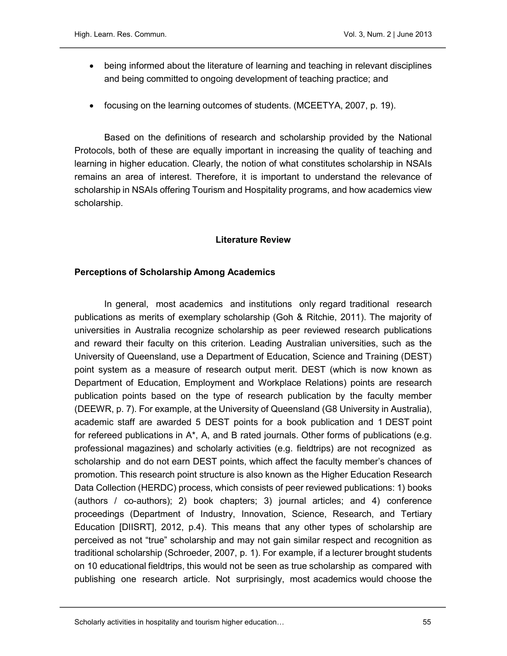- being informed about the literature of learning and teaching in relevant disciplines and being committed to ongoing development of teaching practice; and
- focusing on the learning outcomes of students. (MCEETYA, 2007, p. 19).

Based on the definitions of research and scholarship provided by the National Protocols, both of these are equally important in increasing the quality of teaching and learning in higher education. Clearly, the notion of what constitutes scholarship in NSAIs remains an area of interest. Therefore, it is important to understand the relevance of scholarship in NSAIs offering Tourism and Hospitality programs, and how academics view scholarship.

#### Literature Review

#### Perceptions of Scholarship Among Academics

In general, most academics and institutions only regard traditional research publications as merits of exemplary scholarship (Goh & Ritchie, 2011). The majority of universities in Australia recognize scholarship as peer reviewed research publications and reward their faculty on this criterion. Leading Australian universities, such as the University of Queensland, use a Department of Education, Science and Training (DEST) point system as a measure of research output merit. DEST (which is now known as Department of Education, Employment and Workplace Relations) points are research publication points based on the type of research publication by the faculty member (DEEWR, p. 7). For example, at the University of Queensland (G8 University in Australia), academic staff are awarded 5 DEST points for a book publication and 1 DEST point for refereed publications in  $A^*$ , A, and B rated journals. Other forms of publications (e.g. professional magazines) and scholarly activities (e.g. fieldtrips) are not recognized as scholarship and do not earn DEST points, which affect the faculty member's chances of promotion. This research point structure is also known as the Higher Education Research Data Collection (HERDC) process, which consists of peer reviewed publications: 1) books (authors / co-authors); 2) book chapters; 3) journal articles; and 4) conference proceedings (Department of Industry, Innovation, Science, Research, and Tertiary Education [DIISRT], 2012, p.4). This means that any other types of scholarship are perceived as not "true" scholarship and may not gain similar respect and recognition as traditional scholarship (Schroeder, 2007, p. 1). For example, if a lecturer brought students on 10 educational fieldtrips, this would not be seen as true scholarship as compared with publishing one research article. Not surprisingly, most academics would choose the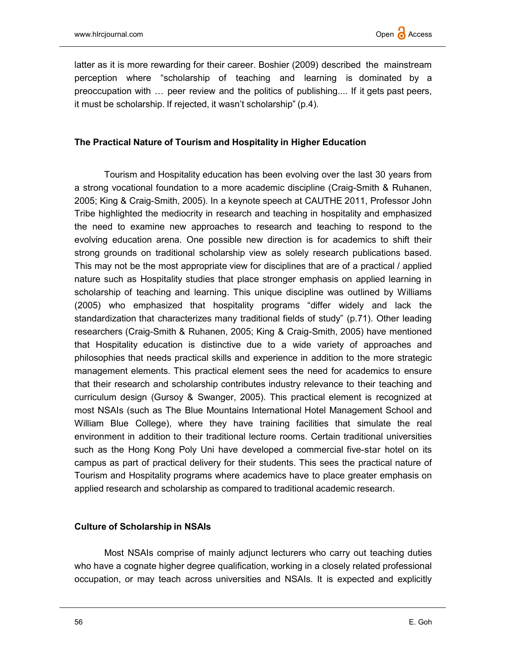latter as it is more rewarding for their career. Boshier (2009) described the mainstream perception where "scholarship of teaching and learning is dominated by a preoccupation with … peer review and the politics of publishing.... If it gets past peers, it must be scholarship. If rejected, it wasn't scholarship" (p.4).

### The Practical Nature of Tourism and Hospitality in Higher Education

Tourism and Hospitality education has been evolving over the last 30 years from a strong vocational foundation to a more academic discipline (Craig-Smith & Ruhanen, 2005; King & Craig-Smith, 2005). In a keynote speech at CAUTHE 2011, Professor John Tribe highlighted the mediocrity in research and teaching in hospitality and emphasized the need to examine new approaches to research and teaching to respond to the evolving education arena. One possible new direction is for academics to shift their strong grounds on traditional scholarship view as solely research publications based. This may not be the most appropriate view for disciplines that are of a practical / applied nature such as Hospitality studies that place stronger emphasis on applied learning in scholarship of teaching and learning. This unique discipline was outlined by Williams (2005) who emphasized that hospitality programs "differ widely and lack the standardization that characterizes many traditional fields of study" (p.71). Other leading researchers (Craig-Smith & Ruhanen, 2005; King & Craig-Smith, 2005) have mentioned that Hospitality education is distinctive due to a wide variety of approaches and philosophies that needs practical skills and experience in addition to the more strategic management elements. This practical element sees the need for academics to ensure that their research and scholarship contributes industry relevance to their teaching and curriculum design (Gursoy & Swanger, 2005). This practical element is recognized at most NSAIs (such as The Blue Mountains International Hotel Management School and William Blue College), where they have training facilities that simulate the real environment in addition to their traditional lecture rooms. Certain traditional universities such as the Hong Kong Poly Uni have developed a commercial five-star hotel on its campus as part of practical delivery for their students. This sees the practical nature of Tourism and Hospitality programs where academics have to place greater emphasis on applied research and scholarship as compared to traditional academic research.

## Culture of Scholarship in NSAIs

Most NSAIs comprise of mainly adjunct lecturers who carry out teaching duties who have a cognate higher degree qualification, working in a closely related professional occupation, or may teach across universities and NSAIs. It is expected and explicitly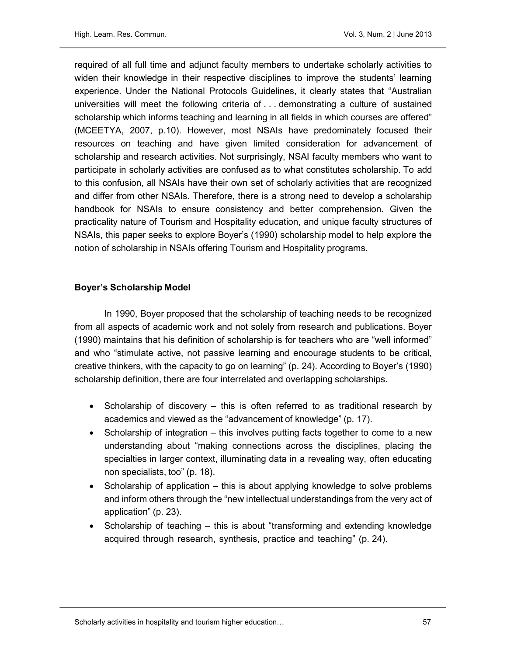required of all full time and adjunct faculty members to undertake scholarly activities to widen their knowledge in their respective disciplines to improve the students' learning experience. Under the National Protocols Guidelines, it clearly states that "Australian universities will meet the following criteria of . . . demonstrating a culture of sustained scholarship which informs teaching and learning in all fields in which courses are offered" (MCEETYA, 2007, p.10). However, most NSAIs have predominately focused their resources on teaching and have given limited consideration for advancement of scholarship and research activities. Not surprisingly, NSAI faculty members who want to participate in scholarly activities are confused as to what constitutes scholarship. To add to this confusion, all NSAIs have their own set of scholarly activities that are recognized and differ from other NSAIs. Therefore, there is a strong need to develop a scholarship handbook for NSAIs to ensure consistency and better comprehension. Given the practicality nature of Tourism and Hospitality education, and unique faculty structures of NSAIs, this paper seeks to explore Boyer's (1990) scholarship model to help explore the notion of scholarship in NSAIs offering Tourism and Hospitality programs.

#### Boyer's Scholarship Model

In 1990, Boyer proposed that the scholarship of teaching needs to be recognized from all aspects of academic work and not solely from research and publications. Boyer (1990) maintains that his definition of scholarship is for teachers who are "well informed" and who "stimulate active, not passive learning and encourage students to be critical, creative thinkers, with the capacity to go on learning" (p. 24). According to Boyer's (1990) scholarship definition, there are four interrelated and overlapping scholarships.

- Scholarship of discovery  $-$  this is often referred to as traditional research by academics and viewed as the "advancement of knowledge" (p. 17).
- Scholarship of integration this involves putting facts together to come to a new understanding about "making connections across the disciplines, placing the specialties in larger context, illuminating data in a revealing way, often educating non specialists, too" (p. 18).
- $\bullet$  Scholarship of application this is about applying knowledge to solve problems and inform others through the "new intellectual understandings from the very act of application" (p. 23).
- Scholarship of teaching this is about "transforming and extending knowledge acquired through research, synthesis, practice and teaching" (p. 24).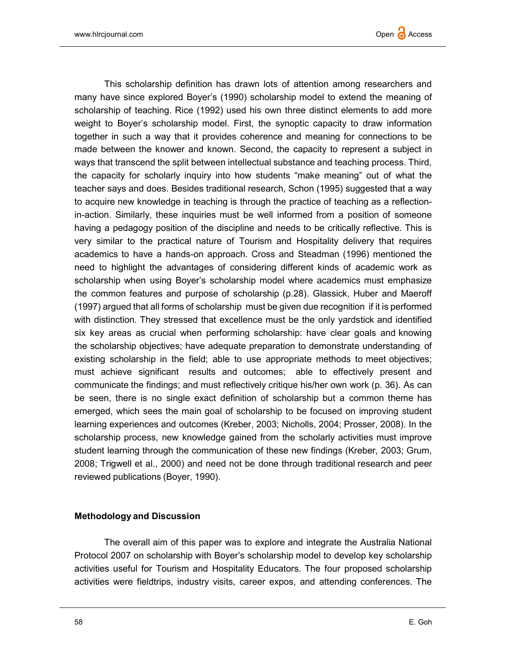

This scholarship definition has drawn lots of attention among researchers and many have since explored Boyer's (1990) scholarship model to extend the meaning of scholarship of teaching. Rice (1992) used his own three distinct elements to add more weight to Boyer's scholarship model. First, the synoptic capacity to draw information together in such a way that it provides coherence and meaning for connections to be made between the knower and known. Second, the capacity to represent a subject in ways that transcend the split between intellectual substance and teaching process. Third, the capacity for scholarly inquiry into how students "make meaning" out of what the teacher says and does. Besides traditional research, Schon (1995) suggested that a way to acquire new knowledge in teaching is through the practice of teaching as a reflectionin-action. Similarly, these inquiries must be well informed from a position of someone having a pedagogy position of the discipline and needs to be critically reflective. This is very similar to the practical nature of Tourism and Hospitality delivery that requires academics to have a hands-on approach. Cross and Steadman (1996) mentioned the need to highlight the advantages of considering different kinds of academic work as scholarship when using Boyer's scholarship model where academics must emphasize the common features and purpose of scholarship (p.28). Glassick, Huber and Maeroff (1997) argued that all forms of scholarship must be given due recognition if it is performed with distinction. They stressed that excellence must be the only yardstick and identified six key areas as crucial when performing scholarship: have clear goals and knowing the scholarship objectives; have adequate preparation to demonstrate understanding of existing scholarship in the field; able to use appropriate methods to meet objectives; must achieve significant results and outcomes; able to effectively present and communicate the findings; and must reflectively critique his/her own work (p. 36). As can be seen, there is no single exact definition of scholarship but a common theme has emerged, which sees the main goal of scholarship to be focused on improving student learning experiences and outcomes (Kreber, 2003; Nicholls, 2004; Prosser, 2008). In the scholarship process, new knowledge gained from the scholarly activities must improve student learning through the communication of these new findings (Kreber, 2003; Grum, 2008; Trigwell et al., 2000) and need not be done through traditional research and peer reviewed publications (Boyer, 1990).

#### Methodology and Discussion

The overall aim of this paper was to explore and integrate the Australia National Protocol 2007 on scholarship with Boyer's scholarship model to develop key scholarship activities useful for Tourism and Hospitality Educators. The four proposed scholarship activities were fieldtrips, industry visits, career expos, and attending conferences. The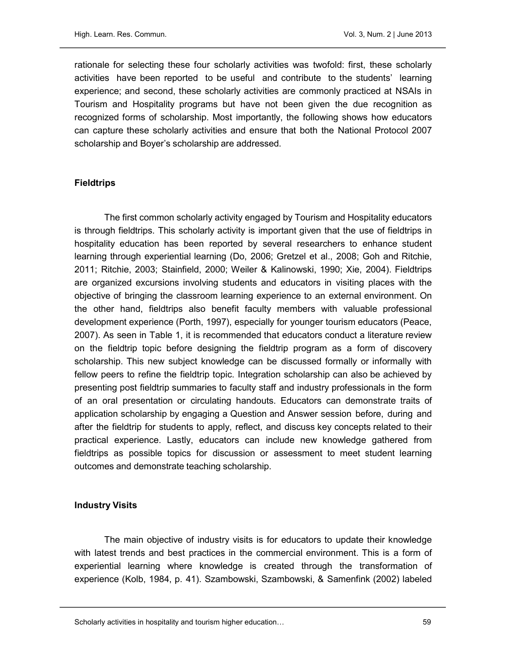rationale for selecting these four scholarly activities was twofold: first, these scholarly activities have been reported to be useful and contribute to the students' learning experience; and second, these scholarly activities are commonly practiced at NSAIs in Tourism and Hospitality programs but have not been given the due recognition as recognized forms of scholarship. Most importantly, the following shows how educators can capture these scholarly activities and ensure that both the National Protocol 2007 scholarship and Boyer's scholarship are addressed.

#### **Fieldtrips**

The first common scholarly activity engaged by Tourism and Hospitality educators is through fieldtrips. This scholarly activity is important given that the use of fieldtrips in hospitality education has been reported by several researchers to enhance student learning through experiential learning (Do, 2006; Gretzel et al., 2008; Goh and Ritchie, 2011; Ritchie, 2003; Stainfield, 2000; Weiler & Kalinowski, 1990; Xie, 2004). Fieldtrips are organized excursions involving students and educators in visiting places with the objective of bringing the classroom learning experience to an external environment. On the other hand, fieldtrips also benefit faculty members with valuable professional development experience (Porth, 1997), especially for younger tourism educators (Peace, 2007). As seen in Table 1, it is recommended that educators conduct a literature review on the fieldtrip topic before designing the fieldtrip program as a form of discovery scholarship. This new subject knowledge can be discussed formally or informally with fellow peers to refine the fieldtrip topic. Integration scholarship can also be achieved by presenting post fieldtrip summaries to faculty staff and industry professionals in the form of an oral presentation or circulating handouts. Educators can demonstrate traits of application scholarship by engaging a Question and Answer session before, during and after the fieldtrip for students to apply, reflect, and discuss key concepts related to their practical experience. Lastly, educators can include new knowledge gathered from fieldtrips as possible topics for discussion or assessment to meet student learning outcomes and demonstrate teaching scholarship.

#### Industry Visits

The main objective of industry visits is for educators to update their knowledge with latest trends and best practices in the commercial environment. This is a form of experiential learning where knowledge is created through the transformation of experience (Kolb, 1984, p. 41). Szambowski, Szambowski, & Samenfink (2002) labeled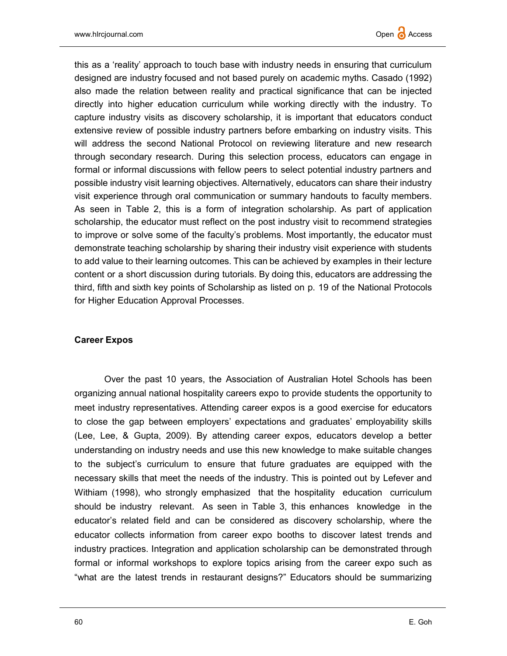this as a 'reality' approach to touch base with industry needs in ensuring that curriculum designed are industry focused and not based purely on academic myths. Casado (1992) also made the relation between reality and practical significance that can be injected directly into higher education curriculum while working directly with the industry. To capture industry visits as discovery scholarship, it is important that educators conduct extensive review of possible industry partners before embarking on industry visits. This will address the second National Protocol on reviewing literature and new research through secondary research. During this selection process, educators can engage in formal or informal discussions with fellow peers to select potential industry partners and possible industry visit learning objectives. Alternatively, educators can share their industry visit experience through oral communication or summary handouts to faculty members. As seen in Table 2, this is a form of integration scholarship. As part of application scholarship, the educator must reflect on the post industry visit to recommend strategies to improve or solve some of the faculty's problems. Most importantly, the educator must demonstrate teaching scholarship by sharing their industry visit experience with students to add value to their learning outcomes. This can be achieved by examples in their lecture content or a short discussion during tutorials. By doing this, educators are addressing the third, fifth and sixth key points of Scholarship as listed on p. 19 of the National Protocols for Higher Education Approval Processes.

## Career Expos

Over the past 10 years, the Association of Australian Hotel Schools has been organizing annual national hospitality careers expo to provide students the opportunity to meet industry representatives. Attending career expos is a good exercise for educators to close the gap between employers' expectations and graduates' employability skills (Lee, Lee, & Gupta, 2009). By attending career expos, educators develop a better understanding on industry needs and use this new knowledge to make suitable changes to the subject's curriculum to ensure that future graduates are equipped with the necessary skills that meet the needs of the industry. This is pointed out by Lefever and Withiam (1998), who strongly emphasized that the hospitality education curriculum should be industry relevant. As seen in Table 3, this enhances knowledge in the educator's related field and can be considered as discovery scholarship, where the educator collects information from career expo booths to discover latest trends and industry practices. Integration and application scholarship can be demonstrated through formal or informal workshops to explore topics arising from the career expo such as "what are the latest trends in restaurant designs?" Educators should be summarizing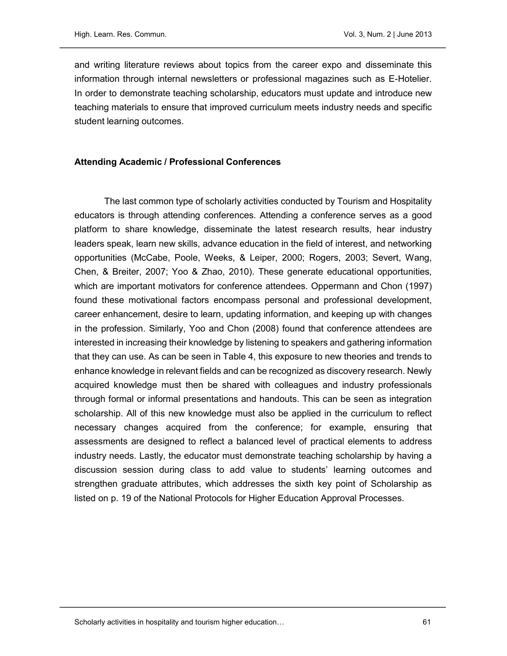and writing literature reviews about topics from the career expo and disseminate this information through internal newsletters or professional magazines such as E-Hotelier. In order to demonstrate teaching scholarship, educators must update and introduce new teaching materials to ensure that improved curriculum meets industry needs and specific student learning outcomes.

#### Attending Academic / Professional Conferences

The last common type of scholarly activities conducted by Tourism and Hospitality educators is through attending conferences. Attending a conference serves as a good platform to share knowledge, disseminate the latest research results, hear industry leaders speak, learn new skills, advance education in the field of interest, and networking opportunities (McCabe, Poole, Weeks, & Leiper, 2000; Rogers, 2003; Severt, Wang, Chen, & Breiter, 2007; Yoo & Zhao, 2010). These generate educational opportunities, which are important motivators for conference attendees. Oppermann and Chon (1997) found these motivational factors encompass personal and professional development, career enhancement, desire to learn, updating information, and keeping up with changes in the profession. Similarly, Yoo and Chon (2008) found that conference attendees are interested in increasing their knowledge by listening to speakers and gathering information that they can use. As can be seen in Table 4, this exposure to new theories and trends to enhance knowledge in relevant fields and can be recognized as discovery research. Newly acquired knowledge must then be shared with colleagues and industry professionals through formal or informal presentations and handouts. This can be seen as integration scholarship. All of this new knowledge must also be applied in the curriculum to reflect necessary changes acquired from the conference; for example, ensuring that assessments are designed to reflect a balanced level of practical elements to address industry needs. Lastly, the educator must demonstrate teaching scholarship by having a discussion session during class to add value to students' learning outcomes and strengthen graduate attributes, which addresses the sixth key point of Scholarship as listed on p. 19 of the National Protocols for Higher Education Approval Processes.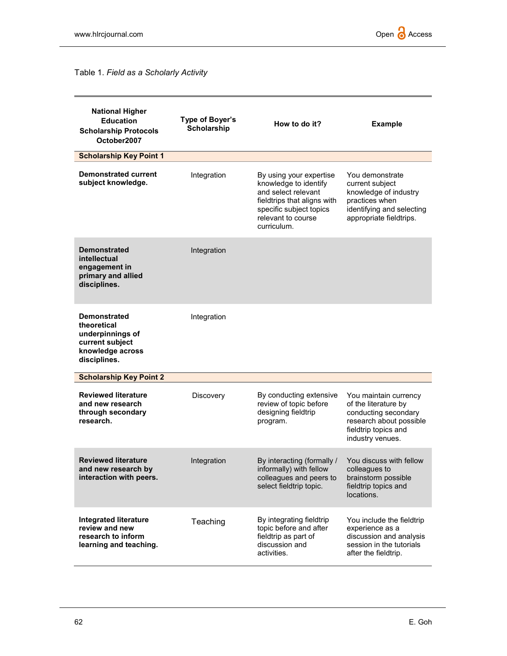# Table 1. Field as a Scholarly Activity

| <b>National Higher</b><br><b>Education</b><br><b>Scholarship Protocols</b><br>October2007                     | Type of Boyer's<br><b>Scholarship</b> | How to do it?                                                                                                                                                          | <b>Example</b>                                                                                                                               |
|---------------------------------------------------------------------------------------------------------------|---------------------------------------|------------------------------------------------------------------------------------------------------------------------------------------------------------------------|----------------------------------------------------------------------------------------------------------------------------------------------|
| <b>Scholarship Key Point 1</b>                                                                                |                                       |                                                                                                                                                                        |                                                                                                                                              |
| <b>Demonstrated current</b><br>subject knowledge.                                                             | Integration                           | By using your expertise<br>knowledge to identify<br>and select relevant<br>fieldtrips that aligns with<br>specific subject topics<br>relevant to course<br>curriculum. | You demonstrate<br>current subject<br>knowledge of industry<br>practices when<br>identifying and selecting<br>appropriate fieldtrips.        |
| <b>Demonstrated</b><br>intellectual<br>engagement in<br>primary and allied<br>disciplines.                    | Integration                           |                                                                                                                                                                        |                                                                                                                                              |
| <b>Demonstrated</b><br>theoretical<br>underpinnings of<br>current subject<br>knowledge across<br>disciplines. | Integration                           |                                                                                                                                                                        |                                                                                                                                              |
| <b>Scholarship Key Point 2</b>                                                                                |                                       |                                                                                                                                                                        |                                                                                                                                              |
| <b>Reviewed literature</b><br>and new research<br>through secondary<br>research.                              | Discovery                             | By conducting extensive<br>review of topic before<br>designing fieldtrip<br>program.                                                                                   | You maintain currency<br>of the literature by<br>conducting secondary<br>research about possible<br>fieldtrip topics and<br>industry venues. |
| <b>Reviewed literature</b><br>and new research by<br>interaction with peers.                                  | Integration                           | By interacting (formally /<br>informally) with fellow<br>colleagues and peers to<br>select fieldtrip topic.                                                            | You discuss with fellow<br>colleagues to<br>brainstorm possible<br>fieldtrip topics and<br>locations.                                        |
| <b>Integrated literature</b><br>review and new<br>research to inform<br>learning and teaching.                | Teaching                              | By integrating fieldtrip<br>topic before and after<br>fieldtrip as part of<br>discussion and<br>activities.                                                            | You include the fieldtrip<br>experience as a<br>discussion and analysis<br>session in the tutorials<br>after the fieldtrip.                  |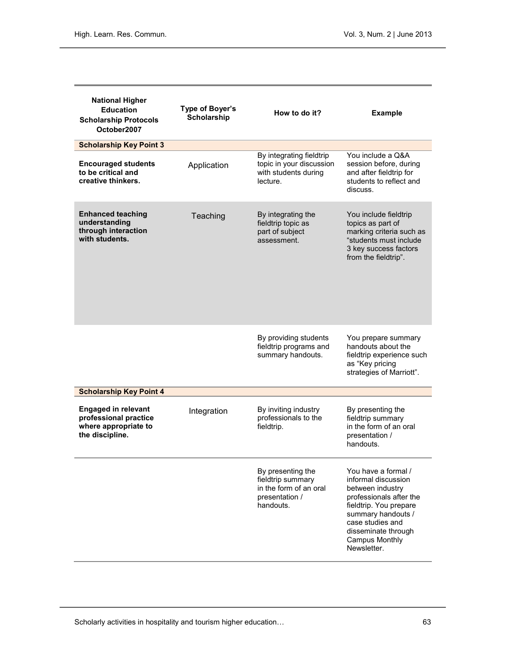| <b>National Higher</b><br><b>Education</b><br><b>Scholarship Protocols</b><br>October2007      | Type of Boyer's<br><b>Scholarship</b> | How to do it?                                                                                   | <b>Example</b>                                                                                                                                                                                                               |
|------------------------------------------------------------------------------------------------|---------------------------------------|-------------------------------------------------------------------------------------------------|------------------------------------------------------------------------------------------------------------------------------------------------------------------------------------------------------------------------------|
| <b>Scholarship Key Point 3</b>                                                                 |                                       |                                                                                                 |                                                                                                                                                                                                                              |
| <b>Encouraged students</b><br>to be critical and<br>creative thinkers.                         | Application                           | By integrating fieldtrip<br>topic in your discussion<br>with students during<br>lecture.        | You include a Q&A<br>session before, during<br>and after fieldtrip for<br>students to reflect and<br>discuss.                                                                                                                |
| <b>Enhanced teaching</b><br>understanding<br>through interaction<br>with students.             | Teaching                              | By integrating the<br>fieldtrip topic as<br>part of subject<br>assessment.                      | You include fieldtrip<br>topics as part of<br>marking criteria such as<br>"students must include<br>3 key success factors<br>from the fieldtrip".                                                                            |
|                                                                                                |                                       | By providing students<br>fieldtrip programs and<br>summary handouts.                            | You prepare summary<br>handouts about the<br>fieldtrip experience such<br>as "Key pricing<br>strategies of Marriott".                                                                                                        |
| <b>Scholarship Key Point 4</b>                                                                 |                                       |                                                                                                 |                                                                                                                                                                                                                              |
| <b>Engaged in relevant</b><br>professional practice<br>where appropriate to<br>the discipline. | Integration                           | By inviting industry<br>professionals to the<br>fieldtrip.                                      | By presenting the<br>fieldtrip summary<br>in the form of an oral<br>presentation /<br>handouts.                                                                                                                              |
|                                                                                                |                                       | By presenting the<br>fieldtrip summary<br>in the form of an oral<br>presentation /<br>handouts. | You have a formal /<br>informal discussion<br>between industry<br>professionals after the<br>fieldtrip. You prepare<br>summary handouts /<br>case studies and<br>disseminate through<br><b>Campus Monthly</b><br>Newsletter. |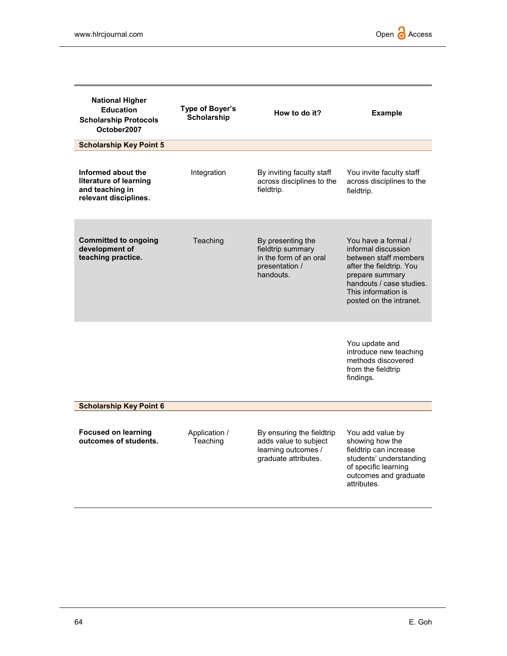| <b>National Higher</b><br><b>Education</b><br><b>Scholarship Protocols</b><br>October2007 | Type of Boyer's<br>Scholarship | How to do it?                                                                                     | <b>Example</b>                                                                                                                                                                                   |
|-------------------------------------------------------------------------------------------|--------------------------------|---------------------------------------------------------------------------------------------------|--------------------------------------------------------------------------------------------------------------------------------------------------------------------------------------------------|
| <b>Scholarship Key Point 5</b>                                                            |                                |                                                                                                   |                                                                                                                                                                                                  |
| Informed about the<br>literature of learning<br>and teaching in<br>relevant disciplines.  | Integration                    | By inviting faculty staff<br>across disciplines to the<br>fieldtrip.                              | You invite faculty staff<br>across disciplines to the<br>fieldtrip.                                                                                                                              |
| <b>Committed to ongoing</b><br>development of<br>teaching practice.                       | Teaching                       | By presenting the<br>fieldtrip summary<br>in the form of an oral<br>presentation /<br>handouts.   | You have a formal /<br>informal discussion<br>between staff members<br>after the fieldtrip. You<br>prepare summary<br>handouts / case studies.<br>This information is<br>posted on the intranet. |
|                                                                                           |                                |                                                                                                   | You update and<br>introduce new teaching<br>methods discovered<br>from the fieldtrip<br>findings.                                                                                                |
| <b>Scholarship Key Point 6</b>                                                            |                                |                                                                                                   |                                                                                                                                                                                                  |
| <b>Focused on learning</b><br>outcomes of students.                                       | Application /<br>Teaching      | By ensuring the fieldtrip<br>adds value to subject<br>learning outcomes /<br>graduate attributes. | You add value by<br>showing how the<br>fieldtrip can increase<br>students' understanding<br>of specific learning<br>outcomes and graduate<br>attributes.                                         |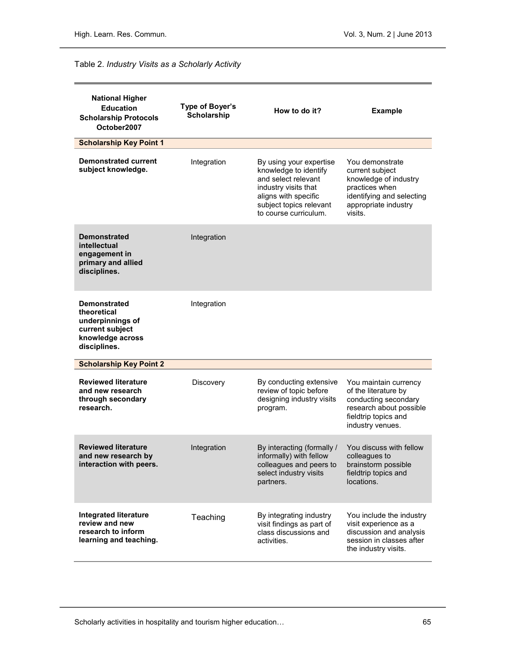## Table 2. Industry Visits as a Scholarly Activity

| <b>National Higher</b><br><b>Education</b><br><b>Scholarship Protocols</b><br>October2007                     | Type of Boyer's<br><b>Scholarship</b> | How to do it?                                                                                                                                                               | <b>Example</b>                                                                                                                                |
|---------------------------------------------------------------------------------------------------------------|---------------------------------------|-----------------------------------------------------------------------------------------------------------------------------------------------------------------------------|-----------------------------------------------------------------------------------------------------------------------------------------------|
| <b>Scholarship Key Point 1</b>                                                                                |                                       |                                                                                                                                                                             |                                                                                                                                               |
| <b>Demonstrated current</b><br>subject knowledge.                                                             | Integration                           | By using your expertise<br>knowledge to identify<br>and select relevant<br>industry visits that<br>aligns with specific<br>subject topics relevant<br>to course curriculum. | You demonstrate<br>current subject<br>knowledge of industry<br>practices when<br>identifying and selecting<br>appropriate industry<br>visits. |
| <b>Demonstrated</b><br>intellectual<br>engagement in<br>primary and allied<br>disciplines.                    | Integration                           |                                                                                                                                                                             |                                                                                                                                               |
| <b>Demonstrated</b><br>theoretical<br>underpinnings of<br>current subject<br>knowledge across<br>disciplines. | Integration                           |                                                                                                                                                                             |                                                                                                                                               |
| <b>Scholarship Key Point 2</b>                                                                                |                                       |                                                                                                                                                                             |                                                                                                                                               |
| <b>Reviewed literature</b><br>and new research<br>through secondary<br>research.                              | Discovery                             | By conducting extensive<br>review of topic before<br>designing industry visits<br>program.                                                                                  | You maintain currency<br>of the literature by<br>conducting secondary<br>research about possible<br>fieldtrip topics and<br>industry venues.  |
| <b>Reviewed literature</b><br>and new research by<br>interaction with peers.                                  | Integration                           | By interacting (formally /<br>informally) with fellow<br>colleagues and peers to<br>select industry visits<br>partners.                                                     | You discuss with fellow<br>colleagues to<br>brainstorm possible<br>fieldtrip topics and<br>locations.                                         |
| <b>Integrated literature</b><br>review and new<br>research to inform<br>learning and teaching.                | Teaching                              | By integrating industry<br>visit findings as part of<br>class discussions and<br>activities.                                                                                | You include the industry<br>visit experience as a<br>discussion and analysis<br>session in classes after<br>the industry visits.              |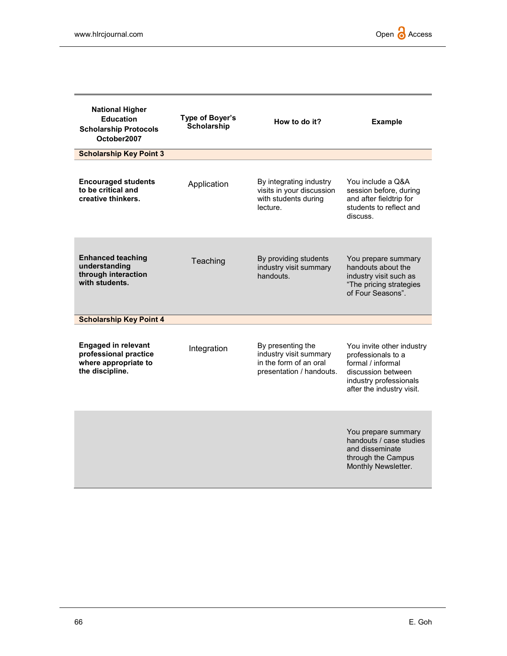| <b>National Higher</b><br><b>Education</b><br><b>Scholarship Protocols</b><br>October2007      | Type of Boyer's<br>Scholarship | How to do it?                                                                                     | <b>Example</b>                                                                                                                                    |
|------------------------------------------------------------------------------------------------|--------------------------------|---------------------------------------------------------------------------------------------------|---------------------------------------------------------------------------------------------------------------------------------------------------|
| <b>Scholarship Key Point 3</b>                                                                 |                                |                                                                                                   |                                                                                                                                                   |
| <b>Encouraged students</b><br>to be critical and<br>creative thinkers.                         | Application                    | By integrating industry<br>visits in your discussion<br>with students during<br>lecture.          | You include a Q&A<br>session before, during<br>and after fieldtrip for<br>students to reflect and<br>discuss.                                     |
| <b>Enhanced teaching</b><br>understanding<br>through interaction<br>with students.             | Teaching                       | By providing students<br>industry visit summary<br>handouts.                                      | You prepare summary<br>handouts about the<br>industry visit such as<br>"The pricing strategies<br>of Four Seasons".                               |
| <b>Scholarship Key Point 4</b>                                                                 |                                |                                                                                                   |                                                                                                                                                   |
| <b>Engaged in relevant</b><br>professional practice<br>where appropriate to<br>the discipline. | Integration                    | By presenting the<br>industry visit summary<br>in the form of an oral<br>presentation / handouts. | You invite other industry<br>professionals to a<br>formal / informal<br>discussion between<br>industry professionals<br>after the industry visit. |
|                                                                                                |                                |                                                                                                   | You prepare summary<br>handouts / case studies<br>and disseminate<br>through the Campus<br>Monthly Newsletter.                                    |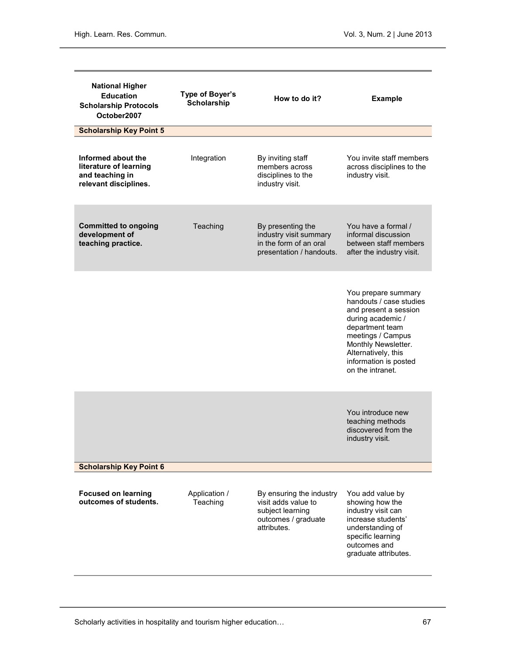| <b>National Higher</b><br><b>Education</b><br><b>Scholarship Protocols</b><br>October2007<br><b>Scholarship Key Point 5</b> | Type of Boyer's<br><b>Scholarship</b> | How to do it?                                                                                             | <b>Example</b>                                                                                                                                                                                                                  |
|-----------------------------------------------------------------------------------------------------------------------------|---------------------------------------|-----------------------------------------------------------------------------------------------------------|---------------------------------------------------------------------------------------------------------------------------------------------------------------------------------------------------------------------------------|
| Informed about the<br>literature of learning<br>and teaching in<br>relevant disciplines.                                    | Integration                           | By inviting staff<br>members across<br>disciplines to the<br>industry visit.                              | You invite staff members<br>across disciplines to the<br>industry visit.                                                                                                                                                        |
| <b>Committed to ongoing</b><br>development of<br>teaching practice.                                                         | Teaching                              | By presenting the<br>industry visit summary<br>in the form of an oral<br>presentation / handouts.         | You have a formal /<br>informal discussion<br>between staff members<br>after the industry visit.                                                                                                                                |
|                                                                                                                             |                                       |                                                                                                           | You prepare summary<br>handouts / case studies<br>and present a session<br>during academic /<br>department team<br>meetings / Campus<br>Monthly Newsletter.<br>Alternatively, this<br>information is posted<br>on the intranet. |
|                                                                                                                             |                                       |                                                                                                           | You introduce new<br>teaching methods<br>discovered from the<br>industry visit.                                                                                                                                                 |
| <b>Scholarship Key Point 6</b>                                                                                              |                                       |                                                                                                           |                                                                                                                                                                                                                                 |
| <b>Focused on learning</b><br>outcomes of students.                                                                         | Application /<br>Teaching             | By ensuring the industry<br>visit adds value to<br>subject learning<br>outcomes / graduate<br>attributes. | You add value by<br>showing how the<br>industry visit can<br>increase students'<br>understanding of<br>specific learning<br>outcomes and<br>graduate attributes.                                                                |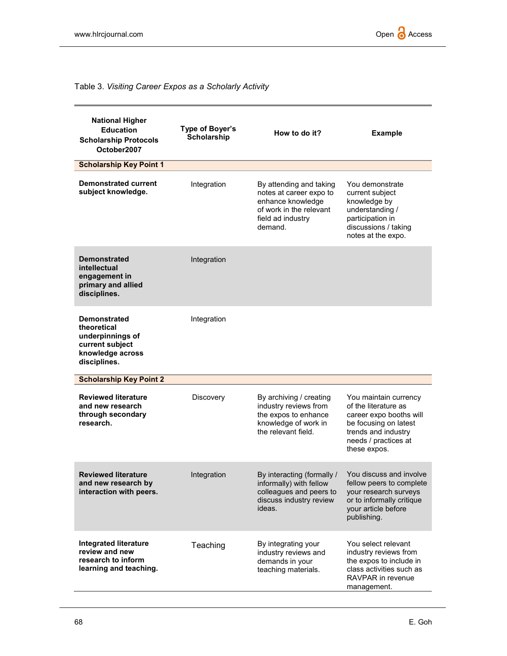# Table 3. Visiting Career Expos as a Scholarly Activity

| <b>National Higher</b><br><b>Education</b><br><b>Scholarship Protocols</b><br>October2007                     | Type of Boyer's<br>Scholarship | How to do it?                                                                                                                      | <b>Example</b>                                                                                                                                                   |
|---------------------------------------------------------------------------------------------------------------|--------------------------------|------------------------------------------------------------------------------------------------------------------------------------|------------------------------------------------------------------------------------------------------------------------------------------------------------------|
| <b>Scholarship Key Point 1</b>                                                                                |                                |                                                                                                                                    |                                                                                                                                                                  |
| <b>Demonstrated current</b><br>subject knowledge.                                                             | Integration                    | By attending and taking<br>notes at career expo to<br>enhance knowledge<br>of work in the relevant<br>field ad industry<br>demand. | You demonstrate<br>current subject<br>knowledge by<br>understanding /<br>participation in<br>discussions / taking<br>notes at the expo.                          |
| <b>Demonstrated</b><br>intellectual<br>engagement in<br>primary and allied<br>disciplines.                    | Integration                    |                                                                                                                                    |                                                                                                                                                                  |
| <b>Demonstrated</b><br>theoretical<br>underpinnings of<br>current subject<br>knowledge across<br>disciplines. | Integration                    |                                                                                                                                    |                                                                                                                                                                  |
| <b>Scholarship Key Point 2</b>                                                                                |                                |                                                                                                                                    |                                                                                                                                                                  |
| <b>Reviewed literature</b><br>and new research<br>through secondary<br>research.                              | Discovery                      | By archiving / creating<br>industry reviews from<br>the expos to enhance<br>knowledge of work in<br>the relevant field.            | You maintain currency<br>of the literature as<br>career expo booths will<br>be focusing on latest<br>trends and industry<br>needs / practices at<br>these expos. |
| <b>Reviewed literature</b><br>and new research by<br>interaction with peers.                                  | Integration                    | By interacting (formally /<br>informally) with fellow<br>colleagues and peers to<br>discuss industry review<br>ideas.              | You discuss and involve<br>fellow peers to complete<br>your research surveys<br>or to informally critique<br>your article before<br>publishing.                  |
| <b>Integrated literature</b><br>review and new<br>research to inform<br>learning and teaching.                | Teaching                       | By integrating your<br>industry reviews and<br>demands in your<br>teaching materials.                                              | You select relevant<br>industry reviews from<br>the expos to include in<br>class activities such as<br>RAVPAR in revenue<br>management.                          |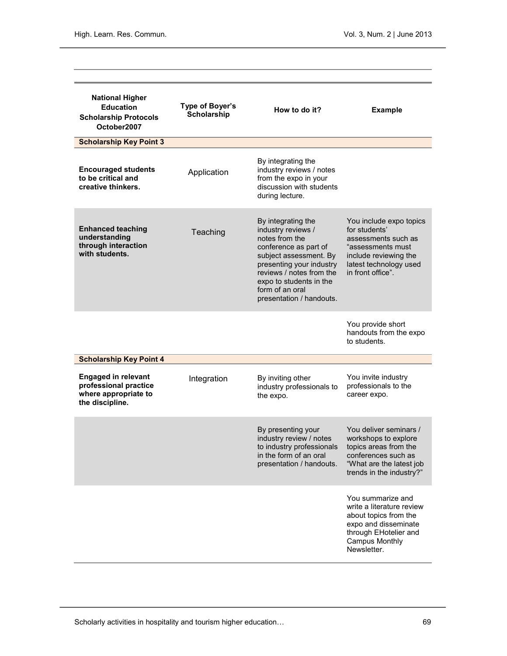| <b>National Higher</b><br><b>Education</b><br><b>Scholarship Protocols</b><br>October2007      | Type of Boyer's<br><b>Scholarship</b> | How to do it?                                                                                                                                                                                                                                   | <b>Example</b>                                                                                                                                                   |
|------------------------------------------------------------------------------------------------|---------------------------------------|-------------------------------------------------------------------------------------------------------------------------------------------------------------------------------------------------------------------------------------------------|------------------------------------------------------------------------------------------------------------------------------------------------------------------|
| <b>Scholarship Key Point 3</b>                                                                 |                                       |                                                                                                                                                                                                                                                 |                                                                                                                                                                  |
| <b>Encouraged students</b><br>to be critical and<br>creative thinkers.                         | Application                           | By integrating the<br>industry reviews / notes<br>from the expo in your<br>discussion with students<br>during lecture.                                                                                                                          |                                                                                                                                                                  |
| <b>Enhanced teaching</b><br>understanding<br>through interaction<br>with students.             | Teaching                              | By integrating the<br>industry reviews /<br>notes from the<br>conference as part of<br>subject assessment. By<br>presenting your industry<br>reviews / notes from the<br>expo to students in the<br>form of an oral<br>presentation / handouts. | You include expo topics<br>for students'<br>assessments such as<br>"assessments must<br>include reviewing the<br>latest technology used<br>in front office".     |
|                                                                                                |                                       |                                                                                                                                                                                                                                                 | You provide short<br>handouts from the expo<br>to students.                                                                                                      |
| <b>Scholarship Key Point 4</b>                                                                 |                                       |                                                                                                                                                                                                                                                 |                                                                                                                                                                  |
| <b>Engaged in relevant</b><br>professional practice<br>where appropriate to<br>the discipline. | Integration                           | By inviting other<br>industry professionals to<br>the expo.                                                                                                                                                                                     | You invite industry<br>professionals to the<br>career expo.                                                                                                      |
|                                                                                                |                                       | By presenting your<br>industry review / notes<br>to industry professionals<br>in the form of an oral<br>presentation / handouts.                                                                                                                | You deliver seminars /<br>workshops to explore<br>topics areas from the<br>conferences such as<br>"What are the latest job<br>trends in the industry?"           |
|                                                                                                |                                       |                                                                                                                                                                                                                                                 | You summarize and<br>write a literature review<br>about topics from the<br>expo and disseminate<br>through EHotelier and<br><b>Campus Monthly</b><br>Newsletter. |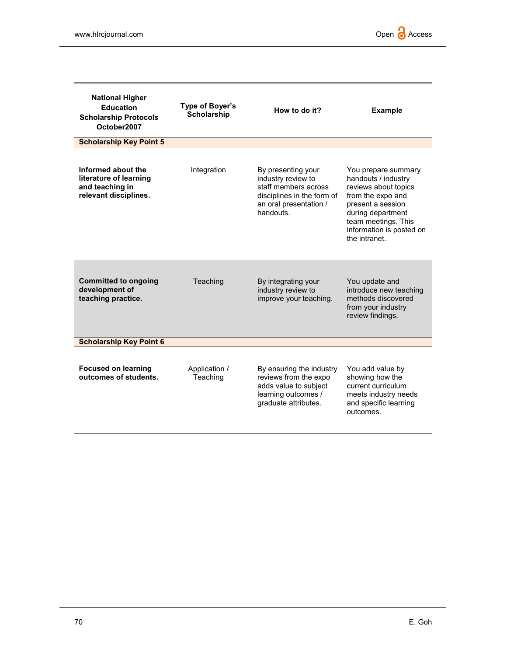| <b>National Higher</b><br><b>Education</b><br><b>Scholarship Protocols</b><br>October2007 | Type of Boyer's<br><b>Scholarship</b> | How to do it?                                                                                                                         | <b>Example</b>                                                                                                                                                                                        |
|-------------------------------------------------------------------------------------------|---------------------------------------|---------------------------------------------------------------------------------------------------------------------------------------|-------------------------------------------------------------------------------------------------------------------------------------------------------------------------------------------------------|
| <b>Scholarship Key Point 5</b>                                                            |                                       |                                                                                                                                       |                                                                                                                                                                                                       |
| Informed about the<br>literature of learning<br>and teaching in<br>relevant disciplines.  | Integration                           | By presenting your<br>industry review to<br>staff members across<br>disciplines in the form of<br>an oral presentation /<br>handouts. | You prepare summary<br>handouts / industry<br>reviews about topics<br>from the expo and<br>present a session<br>during department<br>team meetings. This<br>information is posted on<br>the intranet. |
| <b>Committed to ongoing</b><br>development of<br>teaching practice.                       | Teaching                              | By integrating your<br>industry review to<br>improve your teaching.                                                                   | You update and<br>introduce new teaching<br>methods discovered<br>from your industry<br>review findings.                                                                                              |
| <b>Scholarship Key Point 6</b>                                                            |                                       |                                                                                                                                       |                                                                                                                                                                                                       |
| <b>Focused on learning</b><br>outcomes of students.                                       | Application /<br>Teaching             | By ensuring the industry<br>reviews from the expo<br>adds value to subject<br>learning outcomes /<br>graduate attributes.             | You add value by<br>showing how the<br>current curriculum<br>meets industry needs<br>and specific learning<br>outcomes.                                                                               |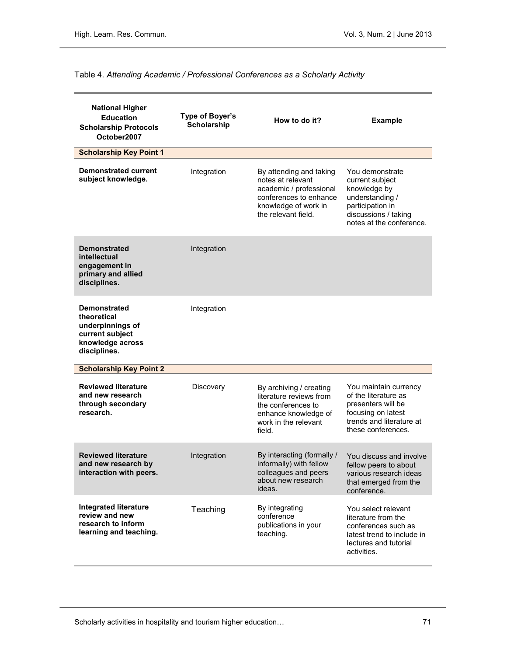# Table 4. Attending Academic / Professional Conferences as a Scholarly Activity

| <b>National Higher</b><br><b>Education</b><br><b>Scholarship Protocols</b><br>October2007                     | Type of Boyer's<br><b>Scholarship</b> | How to do it?                                                                                                                                    | <b>Example</b>                                                                                                                                |
|---------------------------------------------------------------------------------------------------------------|---------------------------------------|--------------------------------------------------------------------------------------------------------------------------------------------------|-----------------------------------------------------------------------------------------------------------------------------------------------|
| <b>Scholarship Key Point 1</b>                                                                                |                                       |                                                                                                                                                  |                                                                                                                                               |
| <b>Demonstrated current</b><br>subject knowledge.                                                             | Integration                           | By attending and taking<br>notes at relevant<br>academic / professional<br>conferences to enhance<br>knowledge of work in<br>the relevant field. | You demonstrate<br>current subject<br>knowledge by<br>understanding /<br>participation in<br>discussions / taking<br>notes at the conference. |
| <b>Demonstrated</b><br>intellectual<br>engagement in<br>primary and allied<br>disciplines.                    | Integration                           |                                                                                                                                                  |                                                                                                                                               |
| <b>Demonstrated</b><br>theoretical<br>underpinnings of<br>current subject<br>knowledge across<br>disciplines. | Integration                           |                                                                                                                                                  |                                                                                                                                               |
| <b>Scholarship Key Point 2</b>                                                                                |                                       |                                                                                                                                                  |                                                                                                                                               |
| <b>Reviewed literature</b><br>and new research<br>through secondary<br>research.                              | Discovery                             | By archiving / creating<br>literature reviews from<br>the conferences to<br>enhance knowledge of<br>work in the relevant<br>field.               | You maintain currency<br>of the literature as<br>presenters will be<br>focusing on latest<br>trends and literature at<br>these conferences.   |
| <b>Reviewed literature</b><br>and new research by<br>interaction with peers.                                  | Integration                           | By interacting (formally /<br>informally) with fellow<br>colleagues and peers<br>about new research<br>ideas.                                    | You discuss and involve<br>fellow peers to about<br>various research ideas<br>that emerged from the<br>conference.                            |
| <b>Integrated literature</b><br>review and new<br>research to inform<br>learning and teaching.                | Teaching                              | By integrating<br>conference<br>publications in your<br>teaching.                                                                                | You select relevant<br>literature from the<br>conferences such as<br>latest trend to include in<br>lectures and tutorial<br>activities.       |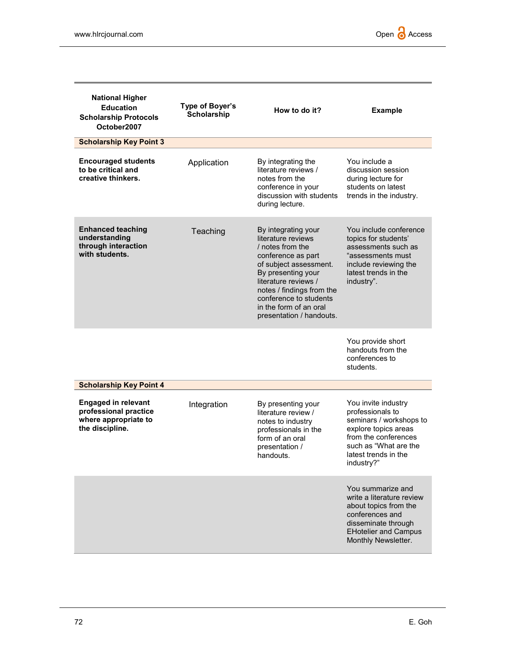| <b>National Higher</b><br><b>Education</b><br><b>Scholarship Protocols</b><br>October2007      | Type of Boyer's<br>Scholarship | How to do it?                                                                                                                                                                                                                                                            | <b>Example</b>                                                                                                                                                                    |
|------------------------------------------------------------------------------------------------|--------------------------------|--------------------------------------------------------------------------------------------------------------------------------------------------------------------------------------------------------------------------------------------------------------------------|-----------------------------------------------------------------------------------------------------------------------------------------------------------------------------------|
| <b>Scholarship Key Point 3</b>                                                                 |                                |                                                                                                                                                                                                                                                                          |                                                                                                                                                                                   |
| <b>Encouraged students</b><br>to be critical and<br>creative thinkers.                         | Application                    | By integrating the<br>literature reviews /<br>notes from the<br>conference in your<br>discussion with students<br>during lecture.                                                                                                                                        | You include a<br>discussion session<br>during lecture for<br>students on latest<br>trends in the industry.                                                                        |
| <b>Enhanced teaching</b><br>understanding<br>through interaction<br>with students.             | Teaching                       | By integrating your<br>literature reviews<br>/ notes from the<br>conference as part<br>of subject assessment.<br>By presenting your<br>literature reviews /<br>notes / findings from the<br>conference to students<br>in the form of an oral<br>presentation / handouts. | You include conference<br>topics for students'<br>assessments such as<br>"assessments must<br>include reviewing the<br>latest trends in the<br>industry".                         |
|                                                                                                |                                |                                                                                                                                                                                                                                                                          | You provide short<br>handouts from the<br>conferences to<br>students.                                                                                                             |
| <b>Scholarship Key Point 4</b>                                                                 |                                |                                                                                                                                                                                                                                                                          |                                                                                                                                                                                   |
| <b>Engaged in relevant</b><br>professional practice<br>where appropriate to<br>the discipline. | Integration                    | By presenting your<br>literature review /<br>notes to industry<br>professionals in the<br>form of an oral<br>presentation /<br>handouts.                                                                                                                                 | You invite industry<br>professionals to<br>seminars / workshops to<br>explore topics areas<br>from the conferences<br>such as "What are the<br>latest trends in the<br>industry?" |
|                                                                                                |                                |                                                                                                                                                                                                                                                                          | You summarize and<br>write a literature review<br>about topics from the<br>conferences and<br>disseminate through<br><b>EHotelier and Campus</b><br>Monthly Newsletter.           |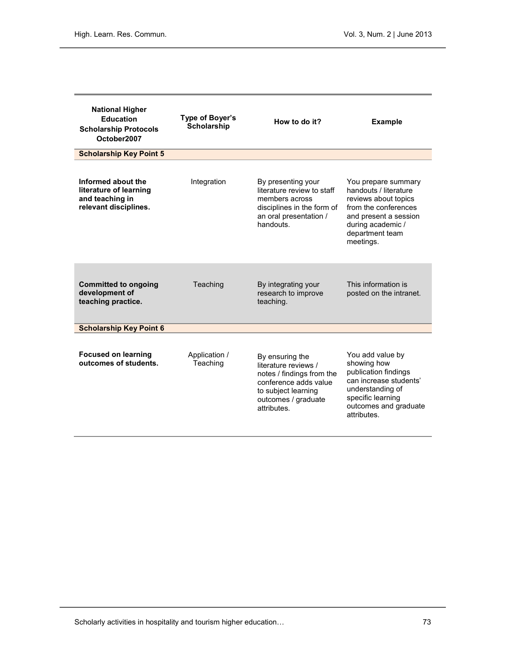| <b>National Higher</b><br><b>Education</b><br><b>Scholarship Protocols</b><br>October2007 | Type of Boyer's<br><b>Scholarship</b> | How to do it?                                                                                                                                              | <b>Example</b>                                                                                                                                                             |
|-------------------------------------------------------------------------------------------|---------------------------------------|------------------------------------------------------------------------------------------------------------------------------------------------------------|----------------------------------------------------------------------------------------------------------------------------------------------------------------------------|
| <b>Scholarship Key Point 5</b>                                                            |                                       |                                                                                                                                                            |                                                                                                                                                                            |
| Informed about the<br>literature of learning<br>and teaching in<br>relevant disciplines.  | Integration                           | By presenting your<br>literature review to staff<br>members across<br>disciplines in the form of<br>an oral presentation /<br>handouts.                    | You prepare summary<br>handouts / literature<br>reviews about topics<br>from the conferences<br>and present a session<br>during academic /<br>department team<br>meetings. |
| <b>Committed to ongoing</b><br>development of<br>teaching practice.                       | Teaching                              | By integrating your<br>research to improve<br>teaching.                                                                                                    | This information is<br>posted on the intranet.                                                                                                                             |
| <b>Scholarship Key Point 6</b>                                                            |                                       |                                                                                                                                                            |                                                                                                                                                                            |
| <b>Focused on learning</b><br>outcomes of students.                                       | Application /<br>Teaching             | By ensuring the<br>literature reviews /<br>notes / findings from the<br>conference adds value<br>to subject learning<br>outcomes / graduate<br>attributes. | You add value by<br>showing how<br>publication findings<br>can increase students'<br>understanding of<br>specific learning<br>outcomes and graduate<br>attributes.         |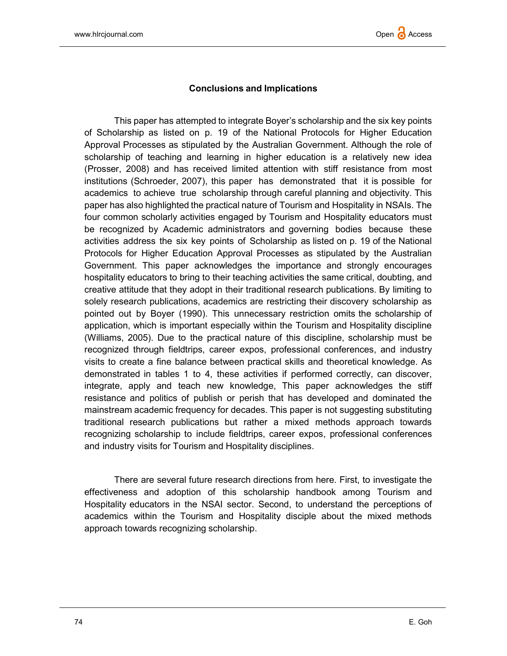# Conclusions and Implications

This paper has attempted to integrate Boyer's scholarship and the six key points of Scholarship as listed on p. 19 of the National Protocols for Higher Education Approval Processes as stipulated by the Australian Government. Although the role of scholarship of teaching and learning in higher education is a relatively new idea (Prosser, 2008) and has received limited attention with stiff resistance from most institutions (Schroeder, 2007), this paper has demonstrated that it is possible for academics to achieve true scholarship through careful planning and objectivity. This paper has also highlighted the practical nature of Tourism and Hospitality in NSAIs. The four common scholarly activities engaged by Tourism and Hospitality educators must be recognized by Academic administrators and governing bodies because these activities address the six key points of Scholarship as listed on p. 19 of the National Protocols for Higher Education Approval Processes as stipulated by the Australian Government. This paper acknowledges the importance and strongly encourages hospitality educators to bring to their teaching activities the same critical, doubting, and creative attitude that they adopt in their traditional research publications. By limiting to solely research publications, academics are restricting their discovery scholarship as pointed out by Boyer (1990). This unnecessary restriction omits the scholarship of application, which is important especially within the Tourism and Hospitality discipline (Williams, 2005). Due to the practical nature of this discipline, scholarship must be recognized through fieldtrips, career expos, professional conferences, and industry visits to create a fine balance between practical skills and theoretical knowledge. As demonstrated in tables 1 to 4, these activities if performed correctly, can discover, integrate, apply and teach new knowledge, This paper acknowledges the stiff resistance and politics of publish or perish that has developed and dominated the mainstream academic frequency for decades. This paper is not suggesting substituting traditional research publications but rather a mixed methods approach towards recognizing scholarship to include fieldtrips, career expos, professional conferences and industry visits for Tourism and Hospitality disciplines.

There are several future research directions from here. First, to investigate the effectiveness and adoption of this scholarship handbook among Tourism and Hospitality educators in the NSAI sector. Second, to understand the perceptions of academics within the Tourism and Hospitality disciple about the mixed methods approach towards recognizing scholarship.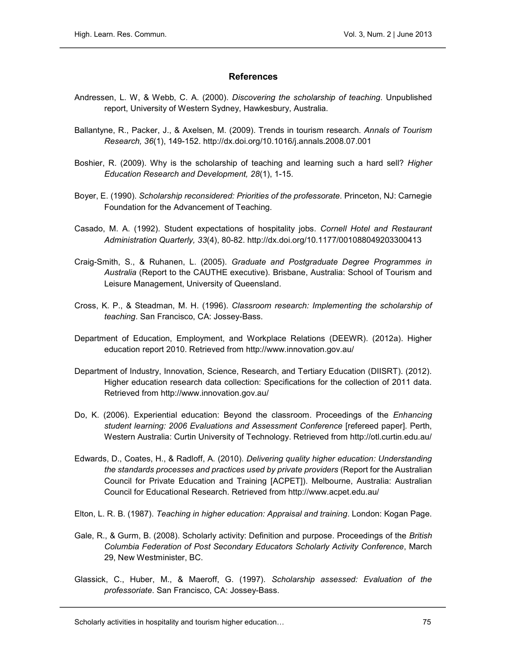#### **References**

- Andressen, L. W, & Webb, C. A. (2000). Discovering the scholarship of teaching. Unpublished report, University of Western Sydney, Hawkesbury, Australia.
- Ballantyne, R., Packer, J., & Axelsen, M. (2009). Trends in tourism research. Annals of Tourism Research, 36(1), 149-152. http://dx.doi.org/10.1016/j.annals.2008.07.001
- Boshier, R. (2009). Why is the scholarship of teaching and learning such a hard sell? Higher Education Research and Development, 28(1), 1-15.
- Boyer, E. (1990). Scholarship reconsidered: Priorities of the professorate. Princeton, NJ: Carnegie Foundation for the Advancement of Teaching.
- Casado, M. A. (1992). Student expectations of hospitality jobs. Cornell Hotel and Restaurant Administration Quarterly, 33(4), 80-82. http://dx.doi.org/10.1177/001088049203300413
- Craig-Smith, S., & Ruhanen, L. (2005). Graduate and Postgraduate Degree Programmes in Australia (Report to the CAUTHE executive). Brisbane, Australia: School of Tourism and Leisure Management, University of Queensland.
- Cross, K. P., & Steadman, M. H. (1996). Classroom research: Implementing the scholarship of teaching. San Francisco, CA: Jossey-Bass.
- Department of Education, Employment, and Workplace Relations (DEEWR). (2012a). Higher education report 2010. Retrieved from http://www.innovation.gov.au/
- Department of Industry, Innovation, Science, Research, and Tertiary Education (DIISRT). (2012). Higher education research data collection: Specifications for the collection of 2011 data. Retrieved from http://www.innovation.gov.au/
- Do, K. (2006). Experiential education: Beyond the classroom. Proceedings of the *Enhancing* student learning: 2006 Evaluations and Assessment Conference [refereed paper]. Perth, Western Australia: Curtin University of Technology. Retrieved from http://otl.curtin.edu.au/
- Edwards, D., Coates, H., & Radloff, A. (2010). Delivering quality higher education: Understanding the standards processes and practices used by private providers (Report for the Australian Council for Private Education and Training [ACPET]). Melbourne, Australia: Australian Council for Educational Research. Retrieved from http://www.acpet.edu.au/
- Elton, L. R. B. (1987). Teaching in higher education: Appraisal and training. London: Kogan Page.
- Gale, R., & Gurm, B. (2008). Scholarly activity: Definition and purpose. Proceedings of the British Columbia Federation of Post Secondary Educators Scholarly Activity Conference, March 29, New Westminister, BC.
- Glassick, C., Huber, M., & Maeroff, G. (1997). Scholarship assessed: Evaluation of the professoriate. San Francisco, CA: Jossey-Bass.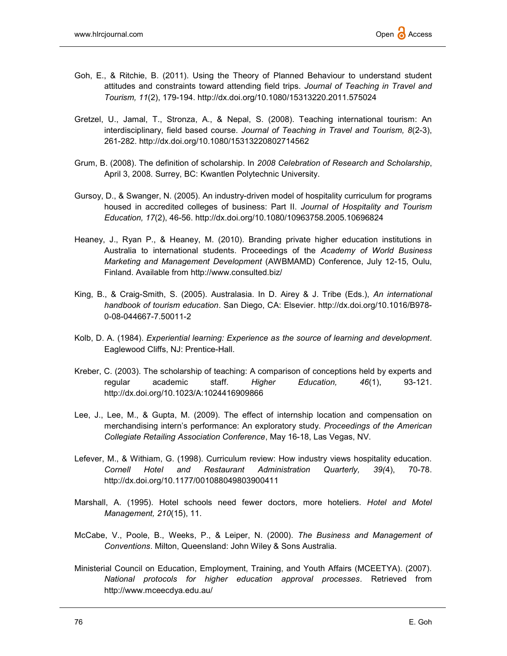- Goh, E., & Ritchie, B. (2011). Using the Theory of Planned Behaviour to understand student attitudes and constraints toward attending field trips. Journal of Teaching in Travel and Tourism, 11(2), 179-194. http://dx.doi.org/10.1080/15313220.2011.575024
- Gretzel, U., Jamal, T., Stronza, A., & Nepal, S. (2008). Teaching international tourism: An interdisciplinary, field based course. Journal of Teaching in Travel and Tourism, 8(2-3), 261-282. http://dx.doi.org/10.1080/15313220802714562
- Grum, B. (2008). The definition of scholarship. In 2008 Celebration of Research and Scholarship, April 3, 2008. Surrey, BC: Kwantlen Polytechnic University.
- Gursoy, D., & Swanger, N. (2005). An industry-driven model of hospitality curriculum for programs housed in accredited colleges of business: Part II. Journal of Hospitality and Tourism Education, 17(2), 46-56. http://dx.doi.org/10.1080/10963758.2005.10696824
- Heaney, J., Ryan P., & Heaney, M. (2010). Branding private higher education institutions in Australia to international students. Proceedings of the Academy of World Business Marketing and Management Development (AWBMAMD) Conference, July 12-15, Oulu, Finland. Available from http://www.consulted.biz/
- King, B., & Craig-Smith, S. (2005). Australasia. In D. Airey & J. Tribe (Eds.), An international handbook of tourism education. San Diego, CA: Elsevier. http://dx.doi.org/10.1016/B978- 0-08-044667-7.50011-2
- Kolb, D. A. (1984). Experiential learning: Experience as the source of learning and development. Eaglewood Cliffs, NJ: Prentice-Hall.
- Kreber, C. (2003). The scholarship of teaching: A comparison of conceptions held by experts and regular academic staff. Higher Education,  $46(1)$ , 93-121. http://dx.doi.org/10.1023/A:1024416909866
- Lee, J., Lee, M., & Gupta, M. (2009). The effect of internship location and compensation on merchandising intern's performance: An exploratory study. Proceedings of the American Collegiate Retailing Association Conference, May 16-18, Las Vegas, NV.
- Lefever, M., & Withiam, G. (1998). Curriculum review: How industry views hospitality education. Cornell Hotel and Restaurant Administration Quarterly, 39(4), 70-78. http://dx.doi.org/10.1177/001088049803900411
- Marshall, A. (1995). Hotel schools need fewer doctors, more hoteliers. Hotel and Motel Management, 210(15), 11.
- McCabe, V., Poole, B., Weeks, P., & Leiper, N. (2000). The Business and Management of Conventions. Milton, Queensland: John Wiley & Sons Australia.
- Ministerial Council on Education, Employment, Training, and Youth Affairs (MCEETYA). (2007). National protocols for higher education approval processes. Retrieved from http://www.mceecdya.edu.au/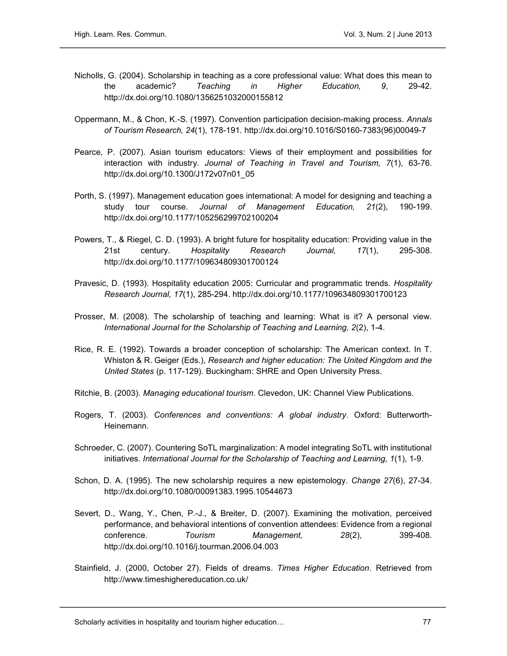- Nicholls, G. (2004). Scholarship in teaching as a core professional value: What does this mean to the academic? Teaching in Higher Education, 9, 29-42. http://dx.doi.org/10.1080/1356251032000155812
- Oppermann, M., & Chon, K.-S. (1997). Convention participation decision-making process. Annals of Tourism Research, 24(1), 178-191. http://dx.doi.org/10.1016/S0160-7383(96)00049-7
- Pearce, P. (2007). Asian tourism educators: Views of their employment and possibilities for interaction with industry. Journal of Teaching in Travel and Tourism, 7(1), 63-76. http://dx.doi.org/10.1300/J172v07n01\_05
- Porth, S. (1997). Management education goes international: A model for designing and teaching a study tour course. Journal of Management Education, 21(2), 190-199. http://dx.doi.org/10.1177/105256299702100204
- Powers, T., & Riegel, C. D. (1993). A bright future for hospitality education: Providing value in the 21st century. Hospitality Research Journal, 17(1), 295-308. http://dx.doi.org/10.1177/109634809301700124
- Pravesic, D. (1993). Hospitality education 2005: Curricular and programmatic trends. Hospitality Research Journal, 17(1), 285-294. http://dx.doi.org/10.1177/109634809301700123
- Prosser, M. (2008). The scholarship of teaching and learning: What is it? A personal view. International Journal for the Scholarship of Teaching and Learning, 2(2), 1-4.
- Rice, R. E. (1992). Towards a broader conception of scholarship: The American context. In T. Whiston & R. Geiger (Eds.), Research and higher education: The United Kingdom and the United States (p. 117-129). Buckingham: SHRE and Open University Press.
- Ritchie, B. (2003). Managing educational tourism. Clevedon, UK: Channel View Publications.
- Rogers, T. (2003). Conferences and conventions: A global industry. Oxford: Butterworth-Heinemann.
- Schroeder, C. (2007). Countering SoTL marginalization: A model integrating SoTL with institutional initiatives. International Journal for the Scholarship of Teaching and Learning, 1(1), 1-9.
- Schon, D. A. (1995). The new scholarship requires a new epistemology. Change 27(6), 27-34. http://dx.doi.org/10.1080/00091383.1995.10544673
- Severt, D., Wang, Y., Chen, P.-J., & Breiter, D. (2007). Examining the motivation, perceived performance, and behavioral intentions of convention attendees: Evidence from a regional conference. Tourism Management, 28(2), 399-408. http://dx.doi.org/10.1016/j.tourman.2006.04.003
- Stainfield, J. (2000, October 27). Fields of dreams. Times Higher Education. Retrieved from http://www.timeshighereducation.co.uk/